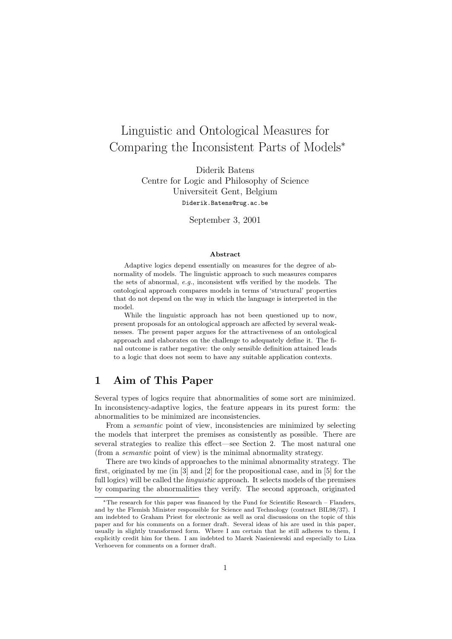# Linguistic and Ontological Measures for Comparing the Inconsistent Parts of Models<sup>∗</sup>

Diderik Batens Centre for Logic and Philosophy of Science Universiteit Gent, Belgium Diderik.Batens@rug.ac.be

September 3, 2001

#### Abstract

Adaptive logics depend essentially on measures for the degree of abnormality of models. The linguistic approach to such measures compares the sets of abnormal, e.g., inconsistent wffs verified by the models. The ontological approach compares models in terms of 'structural' properties that do not depend on the way in which the language is interpreted in the model.

While the linguistic approach has not been questioned up to now. present proposals for an ontological approach are affected by several weaknesses. The present paper argues for the attractiveness of an ontological approach and elaborates on the challenge to adequately define it. The final outcome is rather negative: the only sensible definition attained leads to a logic that does not seem to have any suitable application contexts.

# 1 Aim of This Paper

Several types of logics require that abnormalities of some sort are minimized. In inconsistency-adaptive logics, the feature appears in its purest form: the abnormalities to be minimized are inconsistencies.

From a *semantic* point of view, inconsistencies are minimized by selecting the models that interpret the premises as consistently as possible. There are several strategies to realize this effect—see Section 2. The most natural one (from a semantic point of view) is the minimal abnormality strategy.

There are two kinds of approaches to the minimal abnormality strategy. The first, originated by me (in [3] and [2] for the propositional case, and in [5] for the full logics) will be called the *linguistic* approach. It selects models of the premises by comparing the abnormalities they verify. The second approach, originated

<sup>∗</sup>The research for this paper was financed by the Fund for Scientific Research – Flanders, and by the Flemish Minister responsible for Science and Technology (contract BIL98/37). I am indebted to Graham Priest for electronic as well as oral discussions on the topic of this paper and for his comments on a former draft. Several ideas of his are used in this paper, usually in slightly transformed form. Where I am certain that he still adheres to them, I explicitly credit him for them. I am indebted to Marek Nasieniewski and especially to Liza Verhoeven for comments on a former draft.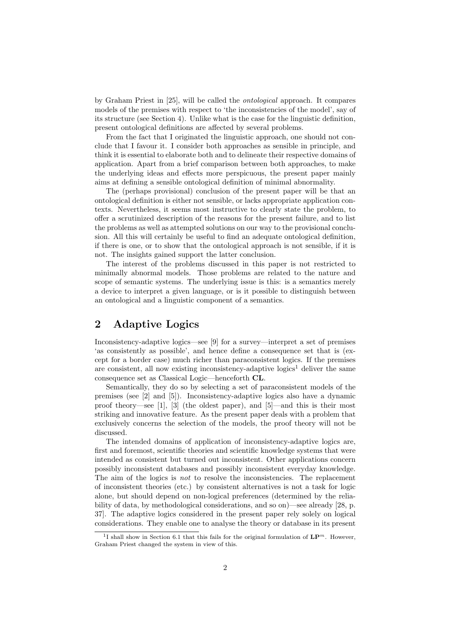by Graham Priest in [25], will be called the ontological approach. It compares models of the premises with respect to 'the inconsistencies of the model', say of its structure (see Section 4). Unlike what is the case for the linguistic definition, present ontological definitions are affected by several problems.

From the fact that I originated the linguistic approach, one should not conclude that I favour it. I consider both approaches as sensible in principle, and think it is essential to elaborate both and to delineate their respective domains of application. Apart from a brief comparison between both approaches, to make the underlying ideas and effects more perspicuous, the present paper mainly aims at defining a sensible ontological definition of minimal abnormality.

The (perhaps provisional) conclusion of the present paper will be that an ontological definition is either not sensible, or lacks appropriate application contexts. Nevertheless, it seems most instructive to clearly state the problem, to offer a scrutinized description of the reasons for the present failure, and to list the problems as well as attempted solutions on our way to the provisional conclusion. All this will certainly be useful to find an adequate ontological definition, if there is one, or to show that the ontological approach is not sensible, if it is not. The insights gained support the latter conclusion.

The interest of the problems discussed in this paper is not restricted to minimally abnormal models. Those problems are related to the nature and scope of semantic systems. The underlying issue is this: is a semantics merely a device to interpret a given language, or is it possible to distinguish between an ontological and a linguistic component of a semantics.

# 2 Adaptive Logics

Inconsistency-adaptive logics—see [9] for a survey—interpret a set of premises 'as consistently as possible', and hence define a consequence set that is (except for a border case) much richer than paraconsistent logics. If the premises are consistent, all now existing inconsistency-adaptive logics<sup>1</sup> deliver the same consequence set as Classical Logic—henceforth CL.

Semantically, they do so by selecting a set of paraconsistent models of the premises (see [2] and [5]). Inconsistency-adaptive logics also have a dynamic proof theory—see [1], [3] (the oldest paper), and [5]—and this is their most striking and innovative feature. As the present paper deals with a problem that exclusively concerns the selection of the models, the proof theory will not be discussed.

The intended domains of application of inconsistency-adaptive logics are, first and foremost, scientific theories and scientific knowledge systems that were intended as consistent but turned out inconsistent. Other applications concern possibly inconsistent databases and possibly inconsistent everyday knowledge. The aim of the logics is not to resolve the inconsistencies. The replacement of inconsistent theories (etc.) by consistent alternatives is not a task for logic alone, but should depend on non-logical preferences (determined by the reliability of data, by methodological considerations, and so on)—see already [28, p. 37]. The adaptive logics considered in the present paper rely solely on logical considerations. They enable one to analyse the theory or database in its present

<sup>&</sup>lt;sup>1</sup>I shall show in Section 6.1 that this fails for the original formulation of  $\mathbf{LP}^m$ . However, Graham Priest changed the system in view of this.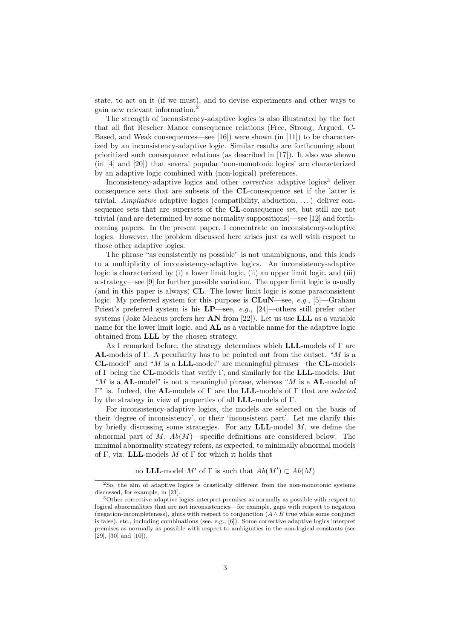state, to act on it (if we must), and to devise experiments and other ways to gain new relevant information.<sup>2</sup>

The strength of inconsistency-adaptive logics is also illustrated by the fact that all flat Rescher–Manor consequence relations (Free, Strong, Argued, C-Based, and Weak consequences—see [16]) were shown (in [11]) to be characterized by an inconsistency-adaptive logic. Similar results are forthcoming about prioritized such consequence relations (as described in [17]). It also was shown (in [4] and [20]) that several popular 'non-monotonic logics' are characterized by an adaptive logic combined with (non-logical) preferences.

Inconsistency-adaptive logics and other *corrective* adaptive logics<sup>3</sup> deliver consequence sets that are subsets of the CL-consequence set if the latter is trivial. Ampliative adaptive logics (compatibility, abduction,  $\dots$ ) deliver consequence sets that are supersets of the CL-consequence set, but still are not trivial (and are determined by some normality suppositions)—see [12] and forthcoming papers. In the present paper, I concentrate on inconsistency-adaptive logics. However, the problem discussed here arises just as well with respect to those other adaptive logics.

The phrase "as consistently as possible" is not unambiguous, and this leads to a multiplicity of inconsistency-adaptive logics. An inconsistency-adaptive logic is characterized by (i) a lower limit logic, (ii) an upper limit logic, and (iii) a strategy—see [9] for further possible variation. The upper limit logic is usually (and in this paper is always) CL. The lower limit logic is some paraconsistent logic. My preferred system for this purpose is  $CLuN$ —see, e.g., [5]—Graham Priest's preferred system is his  $LP$ —see, e.g., [24]—others still prefer other systems (Joke Meheus prefers her  $AN$  from [22]). Let us use  $LLL$  as a variable name for the lower limit logic, and  $AL$  as a variable name for the adaptive logic obtained from LLL by the chosen strategy.

As I remarked before, the strategy determines which **LLL**-models of  $\Gamma$  are **AL-models of Γ.** A peculiarity has to be pointed out from the outset. "M is a **CL-model**" and "M is a **LLL-model**" are meaningful phrases—the **CL-models** of  $\Gamma$  being the **CL**-models that verify  $\Gamma$ , and similarly for the **LLL**-models. But "M is a **AL**-model" is not a meaningful phrase, whereas "M is a **AL**-model of Γ" is. Indeed, the **AL-**models of Γ are the **LLL-models** of Γ that are *selected* by the strategy in view of properties of all LLL-models of Γ.

For inconsistency-adaptive logics, the models are selected on the basis of their 'degree of inconsistency', or their 'inconsistent part'. Let me clarify this by briefly discussing some strategies. For any  $\mathbf{LLL}\text{-model}$  M, we define the abnormal part of M,  $Ab(M)$ —specific definitions are considered below. The minimal abnormality strategy refers, as expected, to minimally abnormal models of Γ, viz. LLL-models  $M$  of Γ for which it holds that

no LLL-model M' of  $\Gamma$  is such that  $Ab(M') \subset Ab(M)$ 

<sup>&</sup>lt;sup>2</sup>So, the aim of adaptive logics is drastically different from the non-monotonic systems discussed, for example, in [21].

<sup>&</sup>lt;sup>3</sup>Other corrective adaptive logics interpret premises as normally as possible with respect to logical abnormalities that are not inconsistencies—for example, gaps with respect to negation (negation-incompleteness), gluts with respect to conjunction  $(A \wedge B$  true while some conjunct is false), etc., including combinations (see, e.g., [6]). Some corrective adaptive logics interpret premises as normally as possible with respect to ambiguities in the non-logical constants (see [29], [30] and [10]).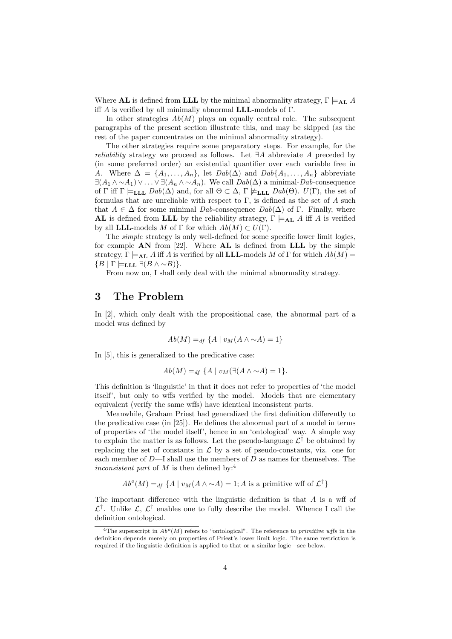Where **AL** is defined from **LLL** by the minimal abnormality strategy,  $\Gamma \models_{\mathbf{AL}} A$ iff A is verified by all minimally abnormal **LLL**-models of  $\Gamma$ .

In other strategies  $Ab(M)$  plays an equally central role. The subsequent paragraphs of the present section illustrate this, and may be skipped (as the rest of the paper concentrates on the minimal abnormality strategy).

The other strategies require some preparatory steps. For example, for the *reliability* strategy we proceed as follows. Let  $\exists A$  abbreviate A preceded by (in some preferred order) an existential quantifier over each variable free in A. Where  $\Delta = \{A_1, \ldots, A_n\}$ , let  $Dab(\Delta)$  and  $Dab\{A_1, \ldots, A_n\}$  abbreviate  $\exists (A_1 \wedge \sim A_1) \vee \ldots \vee \exists (A_n \wedge \sim A_n)$ . We call  $Dab(\Delta)$  a minimal-Dab-consequence of  $\Gamma$  iff  $\Gamma \models_{\textbf{LLL}} Dab(\Delta)$  and, for all  $\Theta \subset \Delta$ ,  $\Gamma \not\models_{\textbf{LLL}} Dab(\Theta)$ .  $U(\Gamma)$ , the set of formulas that are unreliable with respect to  $\Gamma$ , is defined as the set of A such that  $A \in \Delta$  for some minimal Dab-consequence Dab( $\Delta$ ) of Γ. Finally, where AL is defined from LLL by the reliability strategy,  $\Gamma \models_{\bf AL} A$  iff A is verified by all **LLL**-models M of  $\Gamma$  for which  $Ab(M) \subset U(\Gamma)$ .

The simple strategy is only well-defined for some specific lower limit logics, for example  $AN$  from [22]. Where  $AL$  is defined from  $LLL$  by the simple strategy,  $\Gamma \models_{\mathbf{AL}} A$  iff A is verified by all **LLL**-models M of  $\Gamma$  for which  $Ab(M)$  =  ${B | \Gamma \models_{\textbf{LLL}} \exists (B \land \sim B)}.$ 

From now on, I shall only deal with the minimal abnormality strategy.

### 3 The Problem

In [2], which only dealt with the propositional case, the abnormal part of a model was defined by

$$
Ab(M) =_{df} \{A \mid v_M(A \wedge \sim A) = 1\}
$$

In [5], this is generalized to the predicative case:

$$
Ab(M) =_{df} \{A \mid v_M(\exists (A \land \sim A) = 1\}.
$$

This definition is 'linguistic' in that it does not refer to properties of 'the model itself', but only to wffs verified by the model. Models that are elementary equivalent (verify the same wffs) have identical inconsistent parts.

Meanwhile, Graham Priest had generalized the first definition differently to the predicative case (in [25]). He defines the abnormal part of a model in terms of properties of 'the model itself', hence in an 'ontological' way. A simple way to explain the matter is as follows. Let the pseudo-language  $\mathcal{L}^{\uparrow}$  be obtained by replacing the set of constants in  $\mathcal L$  by a set of pseudo-constants, viz. one for each member of  $D-$ I shall use the members of  $D$  as names for themselves. The inconsistent part of  $M$  is then defined by:<sup>4</sup>

$$
Abo(M) =df {A | vM(A \wedge \sim A) = 1; A is a primitive wff of L†}
$$

The important difference with the linguistic definition is that  $A$  is a wff of  $\mathcal{L}^{\uparrow}$ . Unlike  $\mathcal{L}, \mathcal{L}^{\uparrow}$  enables one to fully describe the model. Whence I call the definition ontological.

<sup>&</sup>lt;sup>4</sup>The superscript in  $Ab^o(M)$  refers to "ontological". The reference to *primitive wffs* in the definition depends merely on properties of Priest's lower limit logic. The same restriction is required if the linguistic definition is applied to that or a similar logic—see below.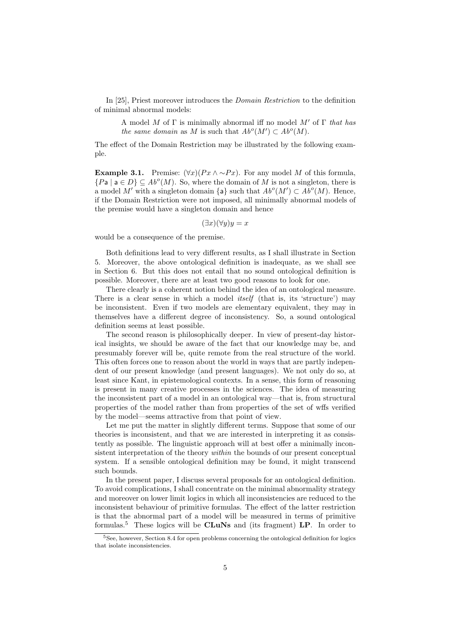In [25], Priest moreover introduces the Domain Restriction to the definition of minimal abnormal models:

A model M of  $\Gamma$  is minimally abnormal iff no model M' of  $\Gamma$  that has the same domain as M is such that  $Ab^o(M') \subset Ab^o(M)$ .

The effect of the Domain Restriction may be illustrated by the following example.

Example 3.1. Premise:  $(\forall x)(Px \land \sim Px)$ . For any model M of this formula,  $\{Pa \mid a \in D\} \subseteq Ab^o(M)$ . So, where the domain of M is not a singleton, there is a model M' with a singleton domain  $\{a\}$  such that  $Ab^o(M') \subset Ab^o(M)$ . Hence, if the Domain Restriction were not imposed, all minimally abnormal models of the premise would have a singleton domain and hence

 $(\exists x)(\forall y)y = x$ 

would be a consequence of the premise.

Both definitions lead to very different results, as I shall illustrate in Section 5. Moreover, the above ontological definition is inadequate, as we shall see in Section 6. But this does not entail that no sound ontological definition is possible. Moreover, there are at least two good reasons to look for one.

There clearly is a coherent notion behind the idea of an ontological measure. There is a clear sense in which a model *itself* (that is, its 'structure') may be inconsistent. Even if two models are elementary equivalent, they may in themselves have a different degree of inconsistency. So, a sound ontological definition seems at least possible.

The second reason is philosophically deeper. In view of present-day historical insights, we should be aware of the fact that our knowledge may be, and presumably forever will be, quite remote from the real structure of the world. This often forces one to reason about the world in ways that are partly independent of our present knowledge (and present languages). We not only do so, at least since Kant, in epistemological contexts. In a sense, this form of reasoning is present in many creative processes in the sciences. The idea of measuring the inconsistent part of a model in an ontological way—that is, from structural properties of the model rather than from properties of the set of wffs verified by the model—seems attractive from that point of view.

Let me put the matter in slightly different terms. Suppose that some of our theories is inconsistent, and that we are interested in interpreting it as consistently as possible. The linguistic approach will at best offer a minimally inconsistent interpretation of the theory *within* the bounds of our present conceptual system. If a sensible ontological definition may be found, it might transcend such bounds.

In the present paper, I discuss several proposals for an ontological definition. To avoid complications, I shall concentrate on the minimal abnormality strategy and moreover on lower limit logics in which all inconsistencies are reduced to the inconsistent behaviour of primitive formulas. The effect of the latter restriction is that the abnormal part of a model will be measured in terms of primitive formulas.<sup>5</sup> These logics will be  $CLuNs$  and (its fragment)  $LP$ . In order to

<sup>&</sup>lt;sup>5</sup>See, however, Section 8.4 for open problems concerning the ontological definition for logics that isolate inconsistencies.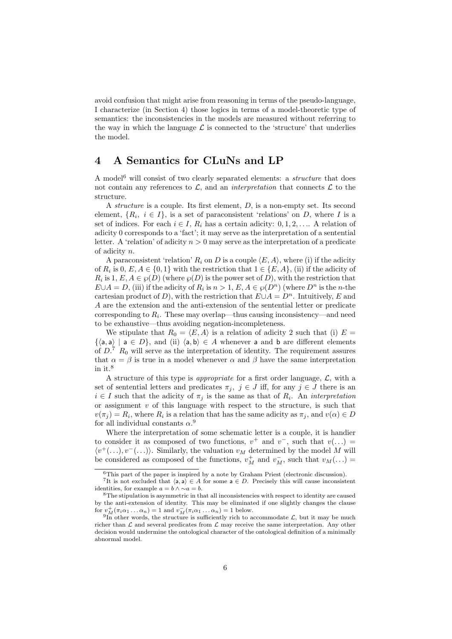avoid confusion that might arise from reasoning in terms of the pseudo-language, I characterize (in Section 4) those logics in terms of a model-theoretic type of semantics: the inconsistencies in the models are measured without referring to the way in which the language  $\mathcal L$  is connected to the 'structure' that underlies the model.

### 4 A Semantics for CLuNs and LP

A model<sup>6</sup> will consist of two clearly separated elements: a *structure* that does not contain any references to  $\mathcal{L}$ , and an *interpretation* that connects  $\mathcal{L}$  to the structure.

A structure is a couple. Its first element,  $D$ , is a non-empty set. Its second element,  $\{R_i, i \in I\}$ , is a set of paraconsistent 'relations' on D, where I is a set of indices. For each  $i \in I$ ,  $R_i$  has a certain adicity:  $0, 1, 2, \ldots$  A relation of adicity 0 corresponds to a 'fact'; it may serve as the interpretation of a sentential letter. A 'relation' of adicity  $n > 0$  may serve as the interpretation of a predicate of adicity n.

A paraconsistent 'relation'  $R_i$  on D is a couple  $\langle E, A \rangle$ , where (i) if the adicity of  $R_i$  is  $0, E, A \in \{0, 1\}$  with the restriction that  $1 \in \{E, A\}$ , (ii) if the adicity of  $R_i$  is  $1, E, A \in \mathcal{P}(D)$  (where  $\mathcal{P}(D)$  is the power set of D), with the restriction that  $E \cup A = D$ , (iii) if the adicity of  $R_i$  is  $n > 1$ ,  $E, A \in \mathcal{P}(D^n)$  (where  $D^n$  is the *n*-the cartesian product of D), with the restriction that  $E \cup A = D^n$ . Intuitively, E and A are the extension and the anti-extension of the sentential letter or predicate corresponding to  $R_i$ . These may overlap—thus causing inconsistency—and need to be exhaustive—thus avoiding negation-incompleteness.

We stipulate that  $R_0 = \langle E, A \rangle$  is a relation of adicity 2 such that (i)  $E =$  $\{\langle a, a \rangle \mid a \in D\}$ , and (ii)  $\langle a, b \rangle \in A$  whenever a and b are different elements of  $D$ .<sup>7</sup>  $R_0$  will serve as the interpretation of identity. The requirement assures that  $\alpha = \beta$  is true in a model whenever  $\alpha$  and  $\beta$  have the same interpretation in it.<sup>8</sup>

A structure of this type is *appropriate* for a first order language,  $\mathcal{L}$ , with a set of sentential letters and predicates  $\pi_j$ ,  $j \in J$  iff, for any  $j \in J$  there is an  $i \in I$  such that the adicity of  $\pi_j$  is the same as that of  $R_i$ . An *interpretation* or assignment  $v$  of this language with respect to the structure, is such that  $v(\pi_j) = R_i$ , where  $R_i$  is a relation that has the same adicity as  $\pi_j$ , and  $v(\alpha) \in D$ for all individual constants  $\alpha$ <sup>9</sup>

Where the interpretation of some schematic letter is a couple, it is handier to consider it as composed of two functions,  $v^+$  and  $v^-$ , such that  $v(\ldots)$  $\langle v^+(\ldots), v^-(\ldots)\rangle$ . Similarly, the valuation  $v_M$  determined by the model M will be considered as composed of the functions,  $v_M^+$  and  $v_M^-$ , such that  $v_M(\ldots)$  =

<sup>6</sup>This part of the paper is inspired by a note by Graham Priest (electronic discussion).

<sup>&</sup>lt;sup>7</sup>It is not excluded that  $\langle a, a \rangle \in A$  for some  $a \in D$ . Precisely this will cause inconsistent identities, for example  $a = b \land \sim a = b$ .

<sup>8</sup>The stipulation is asymmetric in that all inconsistencies with respect to identity are caused by the anti-extension of identity. This may be eliminated if one slightly changes the clause for  $v_M^+(\pi_i\alpha_1...\alpha_n)=1$  and  $v_M^-(\pi_i\alpha_1...\alpha_n)=1$  below.

<sup>&</sup>lt;sup>9</sup>In other words, the structure is sufficiently rich to accommodate  $\mathcal{L}$ , but it may be much richer than  $\mathcal L$  and several predicates from  $\mathcal L$  may receive the same interpretation. Any other decision would undermine the ontological character of the ontological definition of a minimally abnormal model.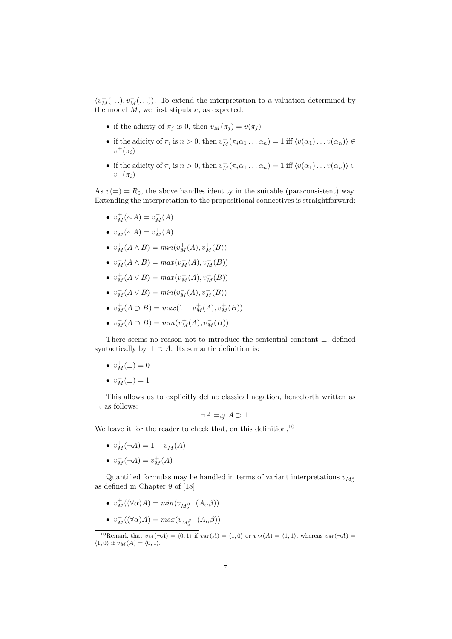$\langle v_M^+(\ldots), v_M^-(\ldots)\rangle$ . To extend the interpretation to a valuation determined by the model  $\overline{M}$ , we first stipulate, as expected:

- if the adicity of  $\pi_j$  is 0, then  $v_M(\pi_j) = v(\pi_j)$
- if the adicity of  $\pi_i$  is  $n > 0$ , then  $v_M^+(\pi_i\alpha_1 \dots \alpha_n) = 1$  iff  $\langle v(\alpha_1) \dots v(\alpha_n) \rangle \in$  $v^+(\pi_i)$
- if the adicity of  $\pi_i$  is  $n > 0$ , then  $v_M^-(\pi_i \alpha_1 \dots \alpha_n) = 1$  iff  $\langle v(\alpha_1) \dots v(\alpha_n) \rangle \in$  $v^-(\pi_i)$

As  $v(=) = R_0$ , the above handles identity in the suitable (paraconsistent) way. Extending the interpretation to the propositional connectives is straightforward:

- $v_M^+({\sim}A) = v_M^-(A)$
- $v_M^-(\sim A) = v_M^+(A)$
- $v_M^+(A \wedge B) = min(v_M^+(A), v_M^+(B))$
- $v_M^-(A \wedge B) = max(v_M^-(A), v_M^-(B))$
- $v_M^+(A \vee B) = max(v_M^+(A), v_M^+(B))$
- $v_M^-(A \vee B) = min(v_M^-(A), v_M^-(B))$
- $v_M^+(A \supset B) = max(1 v_M^+(A), v_M^+(B))$
- $v_M^-(A \supset B) = min(v_M^+(A), v_M^-(B))$

There seems no reason not to introduce the sentential constant ⊥, defined syntactically by  $\perp \supset A$ . Its semantic definition is:

- $v_M^+(\perp) = 0$
- $\bullet\,\, v_M^-(\bot)=1$

This allows us to explicitly define classical negation, henceforth written as ¬, as follows:

$$
\neg A =_{df} A \supset \bot
$$

We leave it for the reader to check that, on this definition,  $10$ 

- $v_M^+(-A) = 1 v_M^+(A)$
- $v_M^-(\neg A) = v_M^+(A)$

Quantified formulas may be handled in terms of variant interpretations  $v_{M_o^a}$ as defined in Chapter 9 of [18]:

•  $v_M^+((\forall \alpha)A) = min(v_{M_o^{\beta}}^+(A_\alpha\beta))$ 

• 
$$
v_M^-((\forall \alpha)A) = max(v_{M_o^{\beta}}^-(A_\alpha\beta))
$$

<sup>10</sup>Remark that  $v_M(\neg A) = \langle 0, 1 \rangle$  if  $v_M(A) = \langle 1, 0 \rangle$  or  $v_M(A) = \langle 1, 1 \rangle$ , whereas  $v_M(\neg A) =$  $\langle 1, 0 \rangle$  if  $v_M(A) = \langle 0, 1 \rangle$ .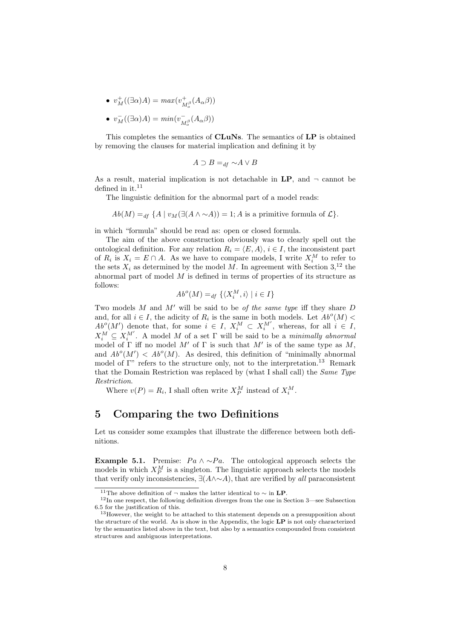- $v_M^+((\exists \alpha)A) = max(v_{M_o^{\beta}}^+(A_\alpha\beta))$
- $v_M^-((\exists \alpha)A) = min(v_{M_o^{\beta}}^-(A_{\alpha}\beta))$

This completes the semantics of CLuNs. The semantics of LP is obtained by removing the clauses for material implication and defining it by

$$
A \supset B =_{df} \sim A \vee B
$$

As a result, material implication is not detachable in  $\mathbf{LP}$ , and  $\neg$  cannot be defined in it.<sup>11</sup>

The linguistic definition for the abnormal part of a model reads:

 $Ab(M) =_{df} {A \mid v_M(\exists (A \land \sim A)) = 1; A \text{ is a primitive formula of } \mathcal{L}}.$ 

in which "formula" should be read as: open or closed formula.

The aim of the above construction obviously was to clearly spell out the ontological definition. For any relation  $R_i = \langle E, A \rangle$ ,  $i \in I$ , the inconsistent part of  $R_i$  is  $X_i = E \cap A$ . As we have to compare models, I write  $X_i^M$  to refer to the sets  $X_i$  as determined by the model M. In agreement with Section  $3,^{12}$  the abnormal part of model  $M$  is defined in terms of properties of its structure as follows:

$$
Ab^o(M) =_{df} \{ \langle X_i^M, i \rangle \mid i \in I \}
$$

Two models  $M$  and  $M'$  will be said to be of the same type iff they share  $D$ and, for all  $i \in I$ , the adicity of  $R_i$  is the same in both models. Let  $Ab^o(M)$  <  $Ab^o(M')$  denote that, for some  $i \in I$ ,  $X_i^M \subset X_i^{M'}$ , whereas, for all  $i \in I$ ,  $X_i^M \subseteq X_i^{M'}$ . A model M of a set  $\Gamma$  will be said to be a minimally abnormal model of  $\Gamma$  iff no model M' of  $\Gamma$  is such that M' is of the same type as M, and  $Ab^o(M') < Ab^o(M)$ . As desired, this definition of "minimally abnormal model of  $\Gamma$ " refers to the structure only, not to the interpretation.<sup>13</sup> Remark that the Domain Restriction was replaced by (what I shall call) the Same Type Restriction.

Where  $v(P) = R_i$ , I shall often write  $X_P^M$  instead of  $X_i^M$ .

# 5 Comparing the two Definitions

Let us consider some examples that illustrate the difference between both definitions.

Example 5.1. Premise:  $Pa \wedge \neg Pa$ . The ontological approach selects the models in which  $X_P^M$  is a singleton. The linguistic approach selects the models that verify only inconsistencies,  $\exists (A \land \sim A)$ , that are verified by all paraconsistent

<sup>&</sup>lt;sup>11</sup>The above definition of ¬ makes the latter identical to  $\sim$  in **LP**.

<sup>12</sup>In one respect, the following definition diverges from the one in Section 3—see Subsection 6.5 for the justification of this.

 $13$ However, the weight to be attached to this statement depends on a presupposition about the structure of the world. As is show in the Appendix, the logic  $\mathbf{LP}$  is not only characterized by the semantics listed above in the text, but also by a semantics compounded from consistent structures and ambiguous interpretations.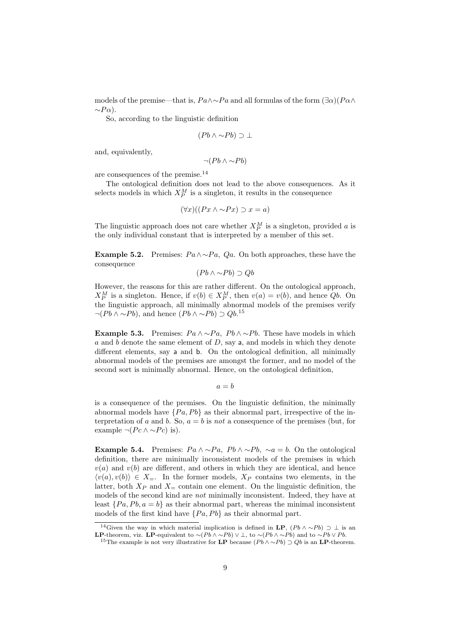models of the premise—that is,  $Pa \wedge \neg Pa$  and all formulas of the form  $(\exists \alpha)(P \alpha \wedge$  $\sim P\alpha$ ).

So, according to the linguistic definition

$$
(Pb \land \sim Pb) \supset \bot
$$

and, equivalently,

 $\neg (Pb \land \sim Pb)$ 

are consequences of the premise.<sup>14</sup>

The ontological definition does not lead to the above consequences. As it selects models in which  $X_P^M$  is a singleton, it results in the consequence

$$
(\forall x)((Px \land \sim Px) \supset x = a)
$$

The linguistic approach does not care whether  $X_P^M$  is a singleton, provided a is the only individual constant that is interpreted by a member of this set.

**Example 5.2.** Premises:  $Pa \wedge \neg Pa$ ,  $Qa$ . On both approaches, these have the consequence

 $(Pb \wedge \sim Pb) \supset Ob$ 

However, the reasons for this are rather different. On the ontological approach,  $X_P^M$  is a singleton. Hence, if  $v(b) \in X_P^M$ , then  $v(a) = v(b)$ , and hence  $Qb$ . On the linguistic approach, all minimally abnormal models of the premises verify  $\neg (Pb \land \sim Pb)$ , and hence  $(Pb \land \sim Pb) \supset Qb$ .<sup>15</sup>

Example 5.3. Premises:  $Pa \wedge \neg Pa$ ,  $Pb \wedge \neg Pb$ . These have models in which a and b denote the same element of  $D$ , say a, and models in which they denote different elements, say a and b. On the ontological definition, all minimally abnormal models of the premises are amongst the former, and no model of the second sort is minimally abnormal. Hence, on the ontological definition,

 $a = b$ 

is a consequence of the premises. On the linguistic definition, the minimally abnormal models have  $\{Pa, Pb\}$  as their abnormal part, irrespective of the interpretation of a and b. So,  $a = b$  is not a consequence of the premises (but, for example  $\neg (P \ncwedge \neg P \nc)$  is).

Example 5.4. Premises:  $Pa \wedge \neg Pa$ ,  $Pb \wedge \neg Pb$ ,  $\neg a = b$ . On the ontological definition, there are minimally inconsistent models of the premises in which  $v(a)$  and  $v(b)$  are different, and others in which they are identical, and hence  $\langle v(a), v(b) \rangle \in X_{=}$ . In the former models,  $X_P$  contains two elements, in the latter, both  $X_P$  and  $X_\pm$  contain one element. On the linguistic definition, the models of the second kind are not minimally inconsistent. Indeed, they have at least  $\{Pa, Pb, a = b\}$  as their abnormal part, whereas the minimal inconsistent models of the first kind have  $\{Pa, Pb\}$  as their abnormal part.

<sup>&</sup>lt;sup>14</sup>Given the way in which material implication is defined in LP,  $(Pb \wedge \sim Pb) \supset \bot$  is an **LP**-theorem, viz. LP-equivalent to  $\sim(Pb \land \sim Pb) \lor \perp$ , to  $\sim(Pb \land \sim Pb)$  and to  $\sim Pb \lor Pb$ .

<sup>&</sup>lt;sup>15</sup>The example is not very illustrative for LP because  $(Pb \wedge \sim Pb) \supset Qb$  is an LP-theorem.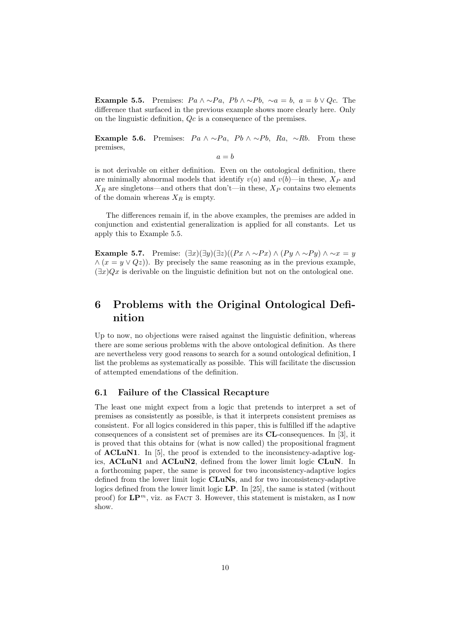Example 5.5. Premises:  $Pa \wedge \neg Pa$ ,  $Pb \wedge \neg Pb$ ,  $\neg a = b$ ,  $a = b \vee Qc$ . The difference that surfaced in the previous example shows more clearly here. Only on the linguistic definition, Qc is a consequence of the premises.

Example 5.6. Premises:  $Pa \wedge \sim Pa$ ,  $Pb \wedge \sim Pb$ ,  $Ra$ ,  $\sim Rb$ . From these premises,

 $a - h$ 

is not derivable on either definition. Even on the ontological definition, there are minimally abnormal models that identify  $v(a)$  and  $v(b)$ —in these,  $X_P$  and  $X_R$  are singletons—and others that don't—in these,  $X_P$  contains two elements of the domain whereas  $X_R$  is empty.

The differences remain if, in the above examples, the premises are added in conjunction and existential generalization is applied for all constants. Let us apply this to Example 5.5.

Example 5.7. Premise:  $(\exists x)(\exists y)(\exists z)((Px \land \sim Px) \land (Py \land \sim Py) \land \sim x = y$  $\wedge (x = y \vee Qz)$ . By precisely the same reasoning as in the previous example,  $(\exists x)Qx$  is derivable on the linguistic definition but not on the ontological one.

# 6 Problems with the Original Ontological Definition

Up to now, no objections were raised against the linguistic definition, whereas there are some serious problems with the above ontological definition. As there are nevertheless very good reasons to search for a sound ontological definition, I list the problems as systematically as possible. This will facilitate the discussion of attempted emendations of the definition.

#### 6.1 Failure of the Classical Recapture

The least one might expect from a logic that pretends to interpret a set of premises as consistently as possible, is that it interprets consistent premises as consistent. For all logics considered in this paper, this is fulfilled iff the adaptive consequences of a consistent set of premises are its CL-consequences. In [3], it is proved that this obtains for (what is now called) the propositional fragment of ACLuN1. In [5], the proof is extended to the inconsistency-adaptive logics, ACLuN1 and ACLuN2, defined from the lower limit logic CLuN. In a forthcoming paper, the same is proved for two inconsistency-adaptive logics defined from the lower limit logic **CLuNs**, and for two inconsistency-adaptive logics defined from the lower limit logic LP. In [25], the same is stated (without proof) for  $\mathbf{LP}^m$ , viz. as FACT 3. However, this statement is mistaken, as I now show.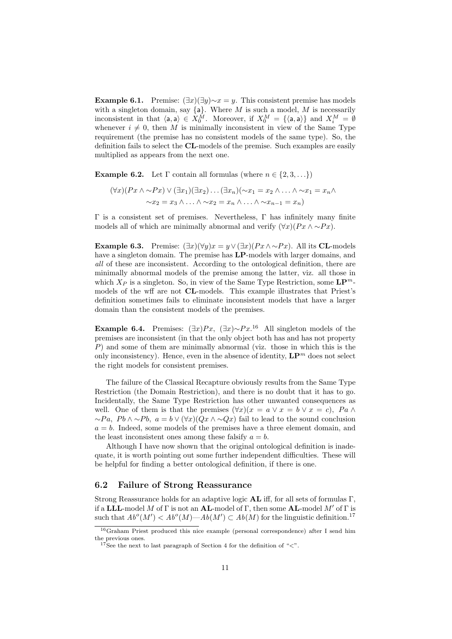**Example 6.1.** Premise:  $(\exists x)(\exists y) \sim x = y$ . This consistent premise has models with a singleton domain, say  ${a}$ . Where M is such a model, M is necessarily inconsistent in that  $\langle a, a \rangle \in X_0^M$ . Moreover, if  $X_0^M = {\langle a, a \rangle}$  and  $X_i^M = \emptyset$ whenever  $i \neq 0$ , then M is minimally inconsistent in view of the Same Type requirement (the premise has no consistent models of the same type). So, the definition fails to select the CL-models of the premise. Such examples are easily multiplied as appears from the next one.

**Example 6.2.** Let  $\Gamma$  contain all formulas (where  $n \in \{2, 3, ...\}$ )

$$
(\forall x)(Px \land \sim Px) \lor (\exists x_1)(\exists x_2) \dots (\exists x_n)(\sim x_1 = x_2 \land \dots \land \sim x_1 = x_n \land \dots \land \sim x_2 = x_3 \land \dots \land \sim x_2 = x_n \land \dots \land \sim x_{n-1} = x_n)
$$

 $Γ$  is a consistent set of premises. Nevertheless,  $Γ$  has infinitely many finite models all of which are minimally abnormal and verify  $(\forall x)(Px \land \sim Px)$ .

Example 6.3. Premise:  $(\exists x)(\forall y)x = y \lor (\exists x)(Px \land \neg Px)$ . All its CL-models have a singleton domain. The premise has **LP**-models with larger domains, and all of these are inconsistent. According to the ontological definition, there are minimally abnormal models of the premise among the latter, viz. all those in which  $X_P$  is a singleton. So, in view of the Same Type Restriction, some  $\mathbf{LP}^m$ models of the wff are not CL-models. This example illustrates that Priest's definition sometimes fails to eliminate inconsistent models that have a larger domain than the consistent models of the premises.

Example 6.4. Premises:  $(\exists x)Px, (\exists x)\sim Px^{16}$  All singleton models of the premises are inconsistent (in that the only object both has and has not property P) and some of them are minimally abnormal (viz. those in which this is the only inconsistency). Hence, even in the absence of identity,  $\mathbf{LP}^m$  does not select the right models for consistent premises.

The failure of the Classical Recapture obviously results from the Same Type Restriction (the Domain Restriction), and there is no doubt that it has to go. Incidentally, the Same Type Restriction has other unwanted consequences as well. One of them is that the premises  $(\forall x)(x = a \lor x = b \lor x = c)$ ,  $Pa \land$  $~\sim P_a$ ,  $P_b \wedge \sim P_b$ ,  $a = b \vee (\forall x)(Q_x \wedge \sim Q_x)$  fail to lead to the sound conclusion  $a = b$ . Indeed, some models of the premises have a three element domain, and the least inconsistent ones among these falsify  $a = b$ .

Although I have now shown that the original ontological definition is inadequate, it is worth pointing out some further independent difficulties. These will be helpful for finding a better ontological definition, if there is one.

#### 6.2 Failure of Strong Reassurance

Strong Reassurance holds for an adaptive logic AL iff, for all sets of formulas Γ, if a LLL-model M of  $\Gamma$  is not an AL-model of  $\Gamma$ , then some AL-model M' of  $\Gamma$  is such that  $Ab^o(M') < Ab^o(M)$ — $Ab(M') \subset Ab(M)$  for the linguistic definition.<sup>17</sup>

<sup>16</sup>Graham Priest produced this nice example (personal correspondence) after I send him the previous ones.

<sup>&</sup>lt;sup>17</sup>See the next to last paragraph of Section 4 for the definition of " $\lt$ ".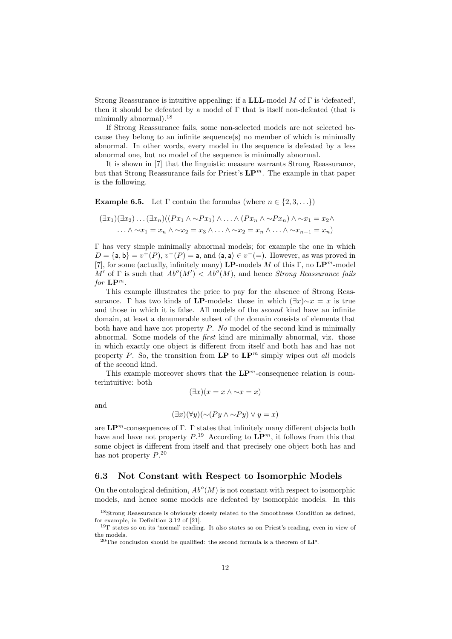Strong Reassurance is intuitive appealing: if a **LLL**-model M of  $\Gamma$  is 'defeated', then it should be defeated by a model of  $\Gamma$  that is itself non-defeated (that is minimally abnormal).<sup>18</sup>

If Strong Reassurance fails, some non-selected models are not selected because they belong to an infinite sequence(s) no member of which is minimally abnormal. In other words, every model in the sequence is defeated by a less abnormal one, but no model of the sequence is minimally abnormal.

It is shown in [7] that the linguistic measure warrants Strong Reassurance, but that Strong Reassurance fails for Priest's  $\mathbf{L}\mathbf{P}^m$ . The example in that paper is the following.

**Example 6.5.** Let  $\Gamma$  contain the formulas (where  $n \in \{2, 3, \ldots\}$ )

$$
(\exists x_1)(\exists x_2)\dots(\exists x_n)((Px_1 \land \sim Px_1) \land \dots \land (Px_n \land \sim Px_n) \land \sim x_1 = x_2 \land \dots \land \sim x_1 = x_n \land \dots \land \sim x_2 = x_n \land \dots \land \sim x_{n-1} = x_n)
$$

Γ has very simple minimally abnormal models; for example the one in which  $D = \{a, b\} = v^+(P), v^-(P) = a, \text{ and } \langle a, a \rangle \in v^-(P)$ . However, as was proved in [7], for some (actually, infinitely many) **LP**-models M of this Γ, no  $\mathbf{LP}^m$ -model M' of  $\Gamma$  is such that  $Ab^o(M') < Ab^o(M)$ , and hence Strong Reassurance fails for  $\mathbf{LP}^m$ .

This example illustrates the price to pay for the absence of Strong Reassurance. Γ has two kinds of **LP**-models: those in which  $(\exists x) \sim x = x$  is true and those in which it is false. All models of the second kind have an infinite domain, at least a denumerable subset of the domain consists of elements that both have and have not property  $P$ . No model of the second kind is minimally abnormal. Some models of the first kind are minimally abnormal, viz. those in which exactly one object is different from itself and both has and has not property P. So, the transition from  $\mathbf{LP}$  to  $\mathbf{LP}^m$  simply wipes out all models of the second kind.

This example moreover shows that the  $\mathbf{LP}^m$ -consequence relation is counterintuitive: both

$$
(\exists x)(x = x \land \sim x = x)
$$

and

$$
(\exists x)(\forall y)(\sim (Py \land \sim Py) \lor y = x)
$$

are  $\mathbf{L}\mathbf{P}^m$ -consequences of  $\Gamma$ .  $\Gamma$  states that infinitely many different objects both have and have not property  $P^{19}$ . According to  $\mathbf{LP}^m$ , it follows from this that some object is different from itself and that precisely one object both has and has not property  $P^{20}$ .

#### 6.3 Not Constant with Respect to Isomorphic Models

On the ontological definition,  $Ab^o(M)$  is not constant with respect to isomorphic models, and hence some models are defeated by isomorphic models. In this

<sup>18</sup>Strong Reassurance is obviously closely related to the Smoothness Condition as defined, for example, in Definition 3.12 of [21].

<sup>&</sup>lt;sup>19</sup>Γ states so on its 'normal' reading. It also states so on Priest's reading, even in view of the models.

 $^{20}\mathrm{The}$  conclusion should be qualified: the second formula is a theorem of  $\mathbf{LP}.$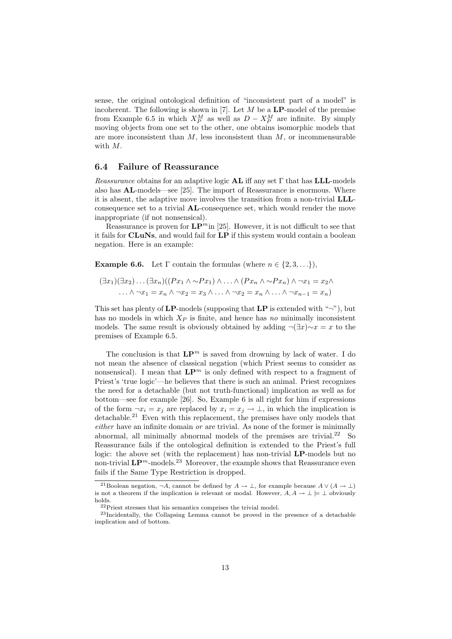sense, the original ontological definition of "inconsistent part of a model" is incoherent. The following is shown in  $[7]$ . Let  $M$  be a LP-model of the premise from Example 6.5 in which  $X_P^M$  as well as  $D - X_P^M$  are infinite. By simply moving objects from one set to the other, one obtains isomorphic models that are more inconsistent than  $M$ , less inconsistent than  $M$ , or incommensurable with M.

#### 6.4 Failure of Reassurance

*Reassurance* obtains for an adaptive logic **AL** iff any set  $\Gamma$  that has **LLL**-models also has AL-models—see [25]. The import of Reassurance is enormous. Where it is absent, the adaptive move involves the transition from a non-trivial LLLconsequence set to a trivial AL-consequence set, which would render the move inappropriate (if not nonsensical).

Reassurance is proven for  $\mathbf{LP}^m$  in [25]. However, it is not difficult to see that it fails for CLuNs, and would fail for LP if this system would contain a boolean negation. Here is an example:

**Example 6.6.** Let  $\Gamma$  contain the formulas (where  $n \in \{2, 3, ...\}$ ),

$$
(\exists x_1)(\exists x_2)\dots(\exists x_n)((Px_1 \land \sim Px_1) \land \dots \land (Px_n \land \sim Px_n) \land \neg x_1 = x_2 \land \dots \land \neg x_1 = x_n \land \neg x_2 = x_3 \land \dots \land \neg x_2 = x_n \land \dots \land \neg x_{n-1} = x_n)
$$

This set has plenty of  $\mathbf{LP}\text{-models}$  (supposing that  $\mathbf{LP}$  is extended with " $\neg$ "), but has no models in which  $X_P$  is finite, and hence has no minimally inconsistent models. The same result is obviously obtained by adding  $\neg(\exists x)\sim x=x$  to the premises of Example 6.5.

The conclusion is that  $\mathbf{L}\mathbf{P}^m$  is saved from drowning by lack of water. I do not mean the absence of classical negation (which Priest seems to consider as nonsensical). I mean that  $\mathbf{L}\mathbf{P}^m$  is only defined with respect to a fragment of Priest's 'true logic'—he believes that there is such an animal. Priest recognizes the need for a detachable (but not truth-functional) implication as well as for bottom—see for example [26]. So, Example 6 is all right for him if expressions of the form  $\neg x_i = x_j$  are replaced by  $x_i = x_j \rightarrow \bot$ , in which the implication is detachable.<sup>21</sup> Even with this replacement, the premises have only models that  $either$  have an infinite domain  $or$  are trivial. As none of the former is minimally abnormal, all minimally abnormal models of the premises are trivial. $22$  So Reassurance fails if the ontological definition is extended to the Priest's full logic: the above set (with the replacement) has non-trivial **LP**-models but no non-trivial  $\mathbf{LP}^m$ -models.<sup>23</sup> Moreover, the example shows that Reassurance even fails if the Same Type Restriction is dropped.

<sup>&</sup>lt;sup>21</sup>Boolean negation,  $\neg A$ , cannot be defined by  $A \to \bot$ , for example because  $A \vee (A \to \bot)$ is not a theorem if the implication is relevant or modal. However,  $A, A \to \perp \models \perp$  obviously holds.

<sup>&</sup>lt;sup>22</sup>Priest stresses that his semantics comprises the trivial model.

<sup>23</sup>Incidentally, the Collapsing Lemma cannot be proved in the presence of a detachable implication and of bottom.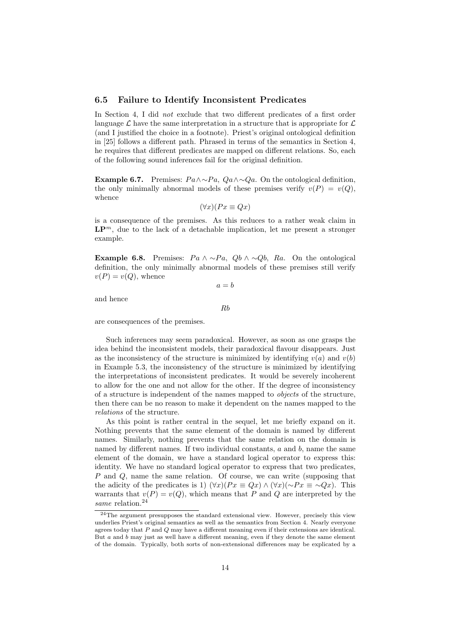#### 6.5 Failure to Identify Inconsistent Predicates

In Section 4, I did not exclude that two different predicates of a first order language  $\mathcal L$  have the same interpretation in a structure that is appropriate for  $\mathcal L$ (and I justified the choice in a footnote). Priest's original ontological definition in [25] follows a different path. Phrased in terms of the semantics in Section 4, he requires that different predicates are mapped on different relations. So, each of the following sound inferences fail for the original definition.

**Example 6.7.** Premises:  $Pa \wedge \neg Pa$ ,  $Qa \wedge \neg Qa$ . On the ontological definition, the only minimally abnormal models of these premises verify  $v(P) = v(Q)$ , whence

$$
(\forall x)(Px \equiv Qx)
$$

is a consequence of the premises. As this reduces to a rather weak claim in  $\mathbf{L}\mathbf{P}^m$ , due to the lack of a detachable implication, let me present a stronger example.

Example 6.8. Premises:  $Pa \wedge \neg Pa$ ,  $Qb \wedge \neg Qb$ ,  $Ra$ . On the ontological definition, the only minimally abnormal models of these premises still verify  $v(P) = v(Q)$ , whence

 $a = b$ 

and hence

Rb

are consequences of the premises.

Such inferences may seem paradoxical. However, as soon as one grasps the idea behind the inconsistent models, their paradoxical flavour disappears. Just as the inconsistency of the structure is minimized by identifying  $v(a)$  and  $v(b)$ in Example 5.3, the inconsistency of the structure is minimized by identifying the interpretations of inconsistent predicates. It would be severely incoherent to allow for the one and not allow for the other. If the degree of inconsistency of a structure is independent of the names mapped to objects of the structure, then there can be no reason to make it dependent on the names mapped to the relations of the structure.

As this point is rather central in the sequel, let me briefly expand on it. Nothing prevents that the same element of the domain is named by different names. Similarly, nothing prevents that the same relation on the domain is named by different names. If two individual constants, a and b, name the same element of the domain, we have a standard logical operator to express this: identity. We have no standard logical operator to express that two predicates, P and Q, name the same relation. Of course, we can write (supposing that the adicity of the predicates is 1)  $(\forall x)(Px \equiv Qx) \land (\forall x)(\sim Px \equiv \sim Qx)$ . This warrants that  $v(P) = v(Q)$ , which means that P and Q are interpreted by the same relation.<sup>24</sup>

<sup>24</sup>The argument presupposes the standard extensional view. However, precisely this view underlies Priest's original semantics as well as the semantics from Section 4. Nearly everyone agrees today that P and Q may have a different meaning even if their extensions are identical. But a and  $\bar{b}$  may just as well have a different meaning, even if they denote the same element of the domain. Typically, both sorts of non-extensional differences may be explicated by a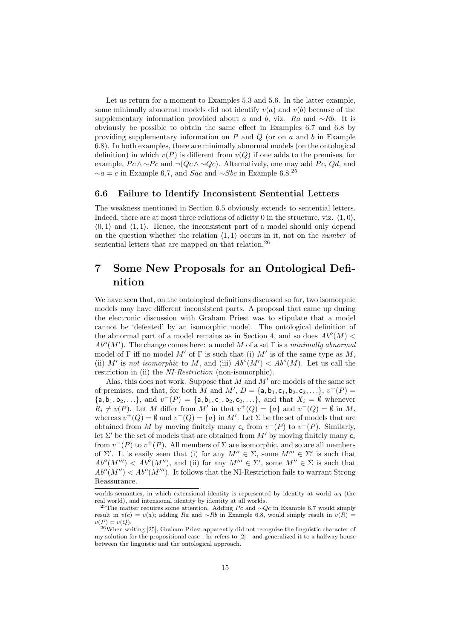Let us return for a moment to Examples 5.3 and 5.6. In the latter example, some minimally abnormal models did not identify  $v(a)$  and  $v(b)$  because of the supplementary information provided about a and b, viz. Ra and  $~\sim Rb$ . It is obviously be possible to obtain the same effect in Examples 6.7 and 6.8 by providing supplementary information on  $P$  and  $Q$  (or on  $a$  and  $b$  in Example 6.8). In both examples, there are minimally abnormal models (on the ontological definition) in which  $v(P)$  is different from  $v(Q)$  if one adds to the premises, for example,  $P c \wedge \sim P c$  and  $\neg (Q c \wedge \sim Q c)$ . Alternatively, one may add  $P c$ ,  $Q d$ , and  $∼a = c$  in Example 6.7, and *Sac* and ∼*Sbc* in Example 6.8.<sup>25</sup>

#### 6.6 Failure to Identify Inconsistent Sentential Letters

The weakness mentioned in Section 6.5 obviously extends to sentential letters. Indeed, there are at most three relations of adicity 0 in the structure, viz.  $\langle 1, 0 \rangle$ ,  $\langle 0, 1 \rangle$  and  $\langle 1, 1 \rangle$ . Hence, the inconsistent part of a model should only depend on the question whether the relation  $\langle 1, 1 \rangle$  occurs in it, not on the *number* of sentential letters that are mapped on that relation.<sup>26</sup>

# 7 Some New Proposals for an Ontological Definition

We have seen that, on the ontological definitions discussed so far, two isomorphic models may have different inconsistent parts. A proposal that came up during the electronic discussion with Graham Priest was to stipulate that a model cannot be 'defeated' by an isomorphic model. The ontological definition of the abnormal part of a model remains as in Section 4, and so does  $Ab^o(M)$  <  $Ab^o(M')$ . The change comes here: a model M of a set  $\Gamma$  is a minimally abnormal model of  $\Gamma$  iff no model M' of  $\Gamma$  is such that (i) M' is of the same type as M, (ii) M' is not isomorphic to M, and (iii)  $Ab^o(M') < Ab^o(M)$ . Let us call the restriction in (ii) the *NI-Restriction* (non-isomorphic).

Alas, this does not work. Suppose that  $M$  and  $M'$  are models of the same set of premises, and that, for both M and M',  $D = \{a, b_1, c_1, b_2, c_2, \ldots\}$ ,  $v^+(P) =$  ${a, b_1, b_2, \ldots}$ , and  $v^-(P) = {a, b_1, c_1, b_2, c_2, \ldots}$ , and that  $X_i = \emptyset$  whenever  $R_i \neq v(P)$ . Let M differ from M' in that  $v^+(Q) = \{a\}$  and  $v^-(Q) = \emptyset$  in M, whereas  $v^+(Q) = \emptyset$  and  $v^-(Q) = \{a\}$  in M'. Let  $\Sigma$  be the set of models that are obtained from M by moving finitely many  $c_i$  from  $v^-(P)$  to  $v^+(P)$ . Similarly, let  $\Sigma'$  be the set of models that are obtained from M' by moving finitely many  $c_i$ from  $v^-(P)$  to  $v^+(P)$ . All members of  $\Sigma$  are isomorphic, and so are all members of  $\Sigma'$ . It is easily seen that (i) for any  $M'' \in \Sigma$ , some  $M''' \in \Sigma'$  is such that  $Ab^o(M''') < Ab^o(M'')$ , and (ii) for any  $M''' \in \Sigma'$ , some  $M'' \in \Sigma$  is such that  $Ab^o(M'') < Ab^o(M''')$ . It follows that the NI-Restriction fails to warrant Strong Reassurance.

worlds semantics, in which extensional identity is represented by identity at world  $w_0$  (the real world), and intensional identity by identity at all worlds.

<sup>&</sup>lt;sup>25</sup>The matter requires some attention. Adding Pc and ∼Qc in Example 6.7 would simply result in  $v(c) = v(a)$ ; adding Ra and ∼Rb in Example 6.8, would simply result in  $v(R)$  $v(P) = v(Q)$ .

<sup>26</sup>When writing [25], Graham Priest apparently did not recognize the linguistic character of my solution for the propositional case—he refers to [2]—and generalized it to a halfway house between the linguistic and the ontological approach.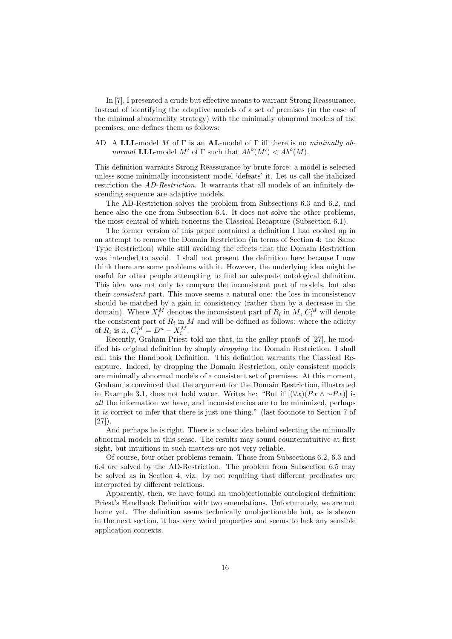In [7], I presented a crude but effective means to warrant Strong Reassurance. Instead of identifying the adaptive models of a set of premises (in the case of the minimal abnormality strategy) with the minimally abnormal models of the premises, one defines them as follows:

#### AD A LLL-model M of  $\Gamma$  is an AL-model of  $\Gamma$  iff there is no minimally abnormal **LLL**-model M' of  $\Gamma$  such that  $Ab^o(M') < Ab^o(M)$ .

This definition warrants Strong Reassurance by brute force: a model is selected unless some minimally inconsistent model 'defeats' it. Let us call the italicized restriction the AD-Restriction. It warrants that all models of an infinitely descending sequence are adaptive models.

The AD-Restriction solves the problem from Subsections 6.3 and 6.2, and hence also the one from Subsection 6.4. It does not solve the other problems, the most central of which concerns the Classical Recapture (Subsection 6.1).

The former version of this paper contained a definition I had cooked up in an attempt to remove the Domain Restriction (in terms of Section 4: the Same Type Restriction) while still avoiding the effects that the Domain Restriction was intended to avoid. I shall not present the definition here because I now think there are some problems with it. However, the underlying idea might be useful for other people attempting to find an adequate ontological definition. This idea was not only to compare the inconsistent part of models, but also their consistent part. This move seems a natural one: the loss in inconsistency should be matched by a gain in consistency (rather than by a decrease in the domain). Where  $X_i^M$  denotes the inconsistent part of  $R_i$  in  $M$ ,  $C_i^M$  will denote the consistent part of  $R_i$  in M and will be defined as follows: where the adicity of  $R_i$  is  $n, C_i^M = D^n - X_i^M$ .

Recently, Graham Priest told me that, in the galley proofs of [27], he modified his original definition by simply dropping the Domain Restriction. I shall call this the Handbook Definition. This definition warrants the Classical Recapture. Indeed, by dropping the Domain Restriction, only consistent models are minimally abnormal models of a consistent set of premises. At this moment, Graham is convinced that the argument for the Domain Restriction, illustrated in Example 3.1, does not hold water. Writes he: "But if  $[(\forall x)(Px \land \sim Px)]$  is all the information we have, and inconsistencies are to be minimized, perhaps it is correct to infer that there is just one thing." (last footnote to Section 7 of [27]).

And perhaps he is right. There is a clear idea behind selecting the minimally abnormal models in this sense. The results may sound counterintuitive at first sight, but intuitions in such matters are not very reliable.

Of course, four other problems remain. Those from Subsections 6.2, 6.3 and 6.4 are solved by the AD-Restriction. The problem from Subsection 6.5 may be solved as in Section 4, viz. by not requiring that different predicates are interpreted by different relations.

Apparently, then, we have found an unobjectionable ontological definition: Priest's Handbook Definition with two emendations. Unfortunately, we are not home yet. The definition seems technically unobjectionable but, as is shown in the next section, it has very weird properties and seems to lack any sensible application contexts.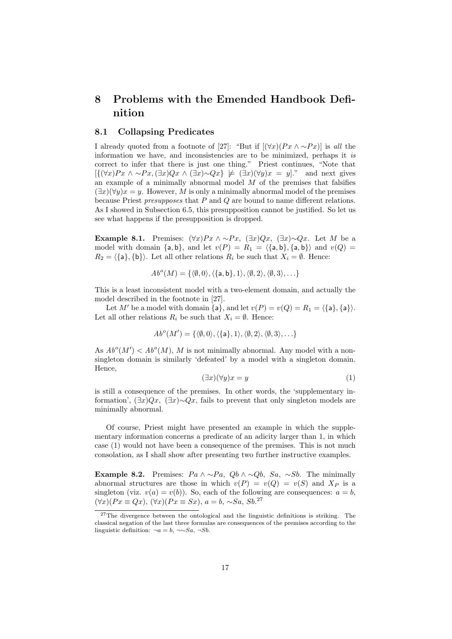# 8 Problems with the Emended Handbook Definition

#### 8.1 Collapsing Predicates

I already quoted from a footnote of [27]: "But if  $[(\forall x)(Px \land \sim Px)]$  is all the information we have, and inconsistencies are to be minimized, perhaps it is correct to infer that there is just one thing." Priest continues, "Note that  $[\{(\forall x)Px \land \sim Px, (\exists x)Qx \land (\exists x) \sim Qx\} \not\models (\exists x)(\forall y)x = y]$ ." and next gives an example of a minimally abnormal model  $M$  of the premises that falsifies  $(\exists x)(\forall y)x = y$ . However, M is only a minimally abnormal model of the premises because Priest *presupposes* that  $P$  and  $Q$  are bound to name different relations. As I showed in Subsection 6.5, this presupposition cannot be justified. So let us see what happens if the presupposition is dropped.

Example 8.1. Premises:  $(\forall x)Px \wedge \sim Px$ ,  $(\exists x)Qx$ ,  $(\exists x) \sim Qx$ . Let M be a model with domain  $\{a, b\}$ , and let  $v(P) = R_1 = \langle \{a, b\}, \{a, b\} \rangle$  and  $v(Q)$  $R_2 = \{\{\mathsf{a}\}, \{\mathsf{b}\}\}\.$  Let all other relations  $R_i$  be such that  $X_i = \emptyset$ . Hence:

$$
Abo(M) = \{ \langle \emptyset, 0 \rangle, \langle \{ \mathsf{a}, \mathsf{b} \}, 1 \rangle, \langle \emptyset, 2 \rangle, \langle \emptyset, 3 \rangle, \ldots \}
$$

This is a least inconsistent model with a two-element domain, and actually the model described in the footnote in [27].

Let M' be a model with domain  $\{a\}$ , and let  $v(P) = v(Q) = R_1 = \langle \{a\}, \{a\} \rangle$ . Let all other relations  $R_i$  be such that  $X_i = \emptyset$ . Hence:

$$
Ab^o(M') = \{ \langle \emptyset, 0 \rangle, \langle \{ \mathsf{a} \}, 1 \rangle, \langle \emptyset, 2 \rangle, \langle \emptyset, 3 \rangle, \ldots \}
$$

As  $Ab^o(M') < Ab^o(M)$ , M is not minimally abnormal. Any model with a nonsingleton domain is similarly 'defeated' by a model with a singleton domain. Hence,

$$
(\exists x)(\forall y)x = y \tag{1}
$$

is still a consequence of the premises. In other words, the 'supplementary information',  $(\exists x)Qx$ ,  $(\exists x)\sim Qx$ , fails to prevent that only singleton models are minimally abnormal.

Of course, Priest might have presented an example in which the supplementary information concerns a predicate of an adicity larger than 1, in which case (1) would not have been a consequence of the premises. This is not much consolation, as I shall show after presenting two further instructive examples.

**Example 8.2.** Premises:  $Pa \wedge \neg Pa$ ,  $Qb \wedge \neg Qb$ ,  $Sa$ ,  $\neg Sb$ . The minimally abnormal structures are those in which  $v(P) = v(Q) = v(S)$  and  $X_P$  is a singleton (viz.  $v(a) = v(b)$ ). So, each of the following are consequences:  $a = b$ ,  $(\forall x)(Px \equiv Qx), (\forall x)(Px \equiv Sx), a = b, \sim Sa, Sb.$ <sup>27</sup>

<sup>&</sup>lt;sup>27</sup>The divergence between the ontological and the linguistic definitions is striking. The classical negation of the last three formulas are consequences of the premises according to the linguistic definition:  $\neg a = b$ ,  $\neg \sim Sa$ ,  $\neg Sh$ .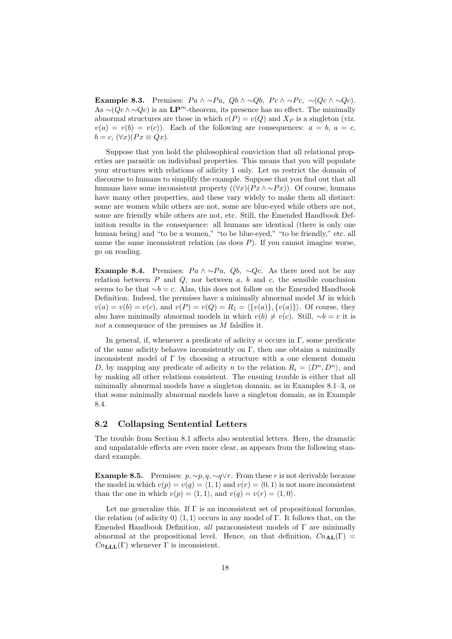Example 8.3. Premises:  $Pa \wedge \neg Pa$ ,  $Qb \wedge \neg Qb$ ,  $Pc \wedge \neg Pc$ ,  $\neg (Qc \wedge \neg Qc)$ . As  $\sim (Qc \wedge \sim Qc)$  is an LP<sup>m</sup>-theorem, its presence has no effect. The minimally abnormal structures are those in which  $v(P) = v(Q)$  and  $X_P$  is a singleton (viz.  $v(a) = v(b) = v(c)$ . Each of the following are consequences:  $a = b, a = c$ ,  $b = c$ ,  $(\forall x)(Px \equiv Qx)$ .

Suppose that you hold the philosophical conviction that all relational properties are parasitic on individual properties. This means that you will populate your structures with relations of adicity 1 only. Let us restrict the domain of discourse to humans to simplify the example. Suppose that you find out that all humans have some inconsistent property  $(\forall x)(Px \land \sim Px)$ ). Of course, humans have many other properties, and these vary widely to make them all distinct: some are women while others are not, some are blue-eyed while others are not, some are friendly while others are not, etc. Still, the Emended Handbook Definition results in the consequence: all humans are identical (there is only one human being) and "to be a women," "to be blue-eyed," "to be friendly," etc. all name the same inconsistent relation (as does  $P$ ). If you cannot imagine worse, go on reading.

Example 8.4. Premises:  $Pa \wedge \neg Pa$ ,  $Qb$ ,  $\neg Qc$ . As there need not be any relation between  $P$  and  $Q$ , nor between  $a, b$  and  $c$ , the sensible conclusion seems to be that  $\sim b = c$ . Alas, this does not follow on the Emended Handbook Definition. Indeed, the premises have a minimally abnormal model  $M$  in which  $v(a) = v(b) = v(c)$ , and  $v(P) = v(Q) = R_1 = \langle \{v(a)\}, \{v(a)\}\rangle$ . Of course, they also have minimally abnormal models in which  $v(b) \neq v(c)$ . Still, ∼b = c it is not a consequence of the premises as M falsifies it.

In general, if, whenever a predicate of adicity n occurs in  $\Gamma$ , some predicate of the same adicity behaves inconsistently on  $\Gamma$ , then one obtains a minimally inconsistent model of  $\Gamma$  by choosing a structure with a one element domain D, by mapping any predicate of adicity n to the relation  $R_i = \langle D^n, D^n \rangle$ , and by making all other relations consistent. The ensuing trouble is either that all minimally abnormal models have a singleton domain, as in Examples 8.1–3, or that some minimally abnormal models have a singleton domain, as in Example 8.4.

#### 8.2 Collapsing Sentential Letters

The trouble from Section 8.1 affects also sentential letters. Here, the dramatic and unpalatable effects are even more clear, as appears from the following standard example.

**Example 8.5.** Premises:  $p, \sim p, q, \sim q \lor r$ . From these r is not derivable because the model in which  $v(p) = v(q) = \langle 1, 1 \rangle$  and  $v(r) = \langle 0, 1 \rangle$  is not more inconsistent than the one in which  $v(p) = \langle 1, 1 \rangle$ , and  $v(q) = v(r) = \langle 1, 0 \rangle$ .

Let me generalize this. If  $\Gamma$  is an inconsistent set of propositional formulas, the relation (of adicity 0)  $\langle 1, 1 \rangle$  occurs in any model of Γ. It follows that, on the Emended Handbook Definition, all paraconsistent models of  $\Gamma$  are minimally abnormal at the propositional level. Hence, on that definition,  $Cn_{\text{AL}}(\Gamma)$  =  $Cn_{\text{LLL}}(\Gamma)$  whenever  $\Gamma$  is inconsistent.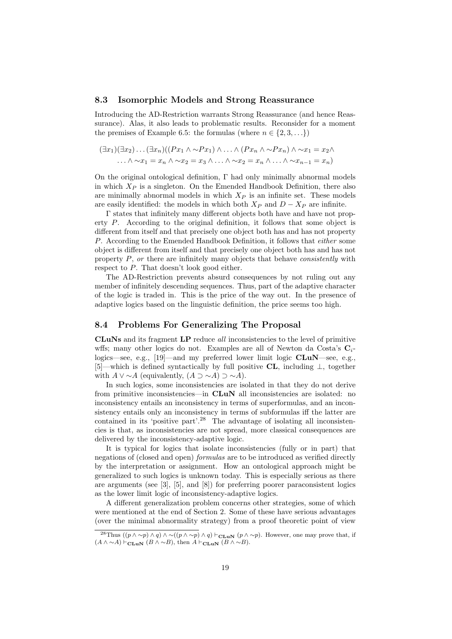#### 8.3 Isomorphic Models and Strong Reassurance

Introducing the AD-Restriction warrants Strong Reassurance (and hence Reassurance). Alas, it also leads to problematic results. Reconsider for a moment the premises of Example 6.5: the formulas (where  $n \in \{2, 3, \ldots\}$ )

$$
(\exists x_1)(\exists x_2)\dots(\exists x_n)((Px_1 \land \sim Px_1) \land \dots \land (Px_n \land \sim Px_n) \land \sim x_1 = x_2 \land \dots \land \sim x_1 = x_n \land \sim x_2 = x_3 \land \dots \land \sim x_2 = x_n \land \dots \land \sim x_{n-1} = x_n)
$$

On the original ontological definition, Γ had only minimally abnormal models in which  $X_P$  is a singleton. On the Emended Handbook Definition, there also are minimally abnormal models in which  $X_P$  is an infinite set. These models are easily identified: the models in which both  $X_P$  and  $D - X_P$  are infinite.

Γ states that infinitely many different objects both have and have not property P. According to the original definition, it follows that some object is different from itself and that precisely one object both has and has not property P. According to the Emended Handbook Definition, it follows that either some object is different from itself and that precisely one object both has and has not property P, or there are infinitely many objects that behave consistently with respect to P. That doesn't look good either.

The AD-Restriction prevents absurd consequences by not ruling out any member of infinitely descending sequences. Thus, part of the adaptive character of the logic is traded in. This is the price of the way out. In the presence of adaptive logics based on the linguistic definition, the price seems too high.

#### 8.4 Problems For Generalizing The Proposal

CLuNs and its fragment LP reduce all inconsistencies to the level of primitive wffs; many other logics do not. Examples are all of Newton da Costa's  $C_i$ logics—see, e.g.,  $[19]$ —and my preferred lower limit logic  $CLuN$ —see, e.g., [5]—which is defined syntactically by full positive CL, including ⊥, together with  $A \vee \sim A$  (equivalently,  $(A \supset \sim A) \supset \sim A$ ).

In such logics, some inconsistencies are isolated in that they do not derive from primitive inconsistencies—in CLuN all inconsistencies are isolated: no inconsistency entails an inconsistency in terms of superformulas, and an inconsistency entails only an inconsistency in terms of subformulas iff the latter are contained in its 'positive part'.<sup>28</sup> The advantage of isolating all inconsistencies is that, as inconsistencies are not spread, more classical consequences are delivered by the inconsistency-adaptive logic.

It is typical for logics that isolate inconsistencies (fully or in part) that negations of (closed and open) formulas are to be introduced as verified directly by the interpretation or assignment. How an ontological approach might be generalized to such logics is unknown today. This is especially serious as there are arguments (see [3], [5], and [8]) for preferring poorer paraconsistent logics as the lower limit logic of inconsistency-adaptive logics.

A different generalization problem concerns other strategies, some of which were mentioned at the end of Section 2. Some of these have serious advantages (over the minimal abnormality strategy) from a proof theoretic point of view

<sup>&</sup>lt;sup>28</sup>Thus  $((p \wedge \sim p) \wedge q) \wedge \sim ((p \wedge \sim p) \wedge q) \vdash_{\text{CLuN}} (p \wedge \sim p)$ . However, one may prove that, if  $(A \wedge \sim A) \vdash_{\text{CLuN}} (B \wedge \sim B)$ , then  $A \vdash_{\text{CLuN}} (B \wedge \sim B)$ .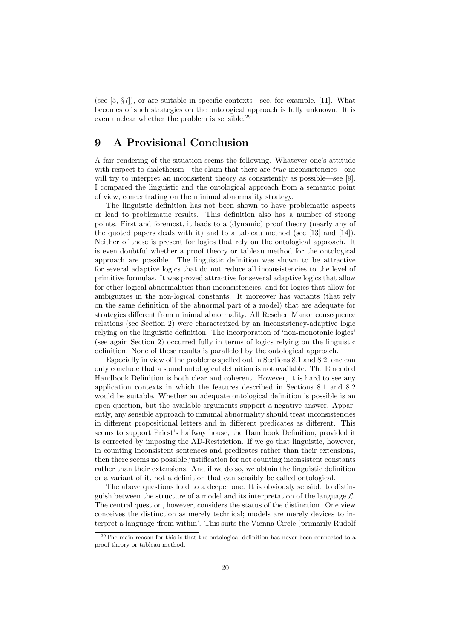(see  $[5, \S7]$ ), or are suitable in specific contexts—see, for example, [11]. What becomes of such strategies on the ontological approach is fully unknown. It is even unclear whether the problem is sensible.<sup>29</sup>

# 9 A Provisional Conclusion

A fair rendering of the situation seems the following. Whatever one's attitude with respect to dialetheism—the claim that there are *true* inconsistencies—one will try to interpret an inconsistent theory as consistently as possible—see [9]. I compared the linguistic and the ontological approach from a semantic point of view, concentrating on the minimal abnormality strategy.

The linguistic definition has not been shown to have problematic aspects or lead to problematic results. This definition also has a number of strong points. First and foremost, it leads to a (dynamic) proof theory (nearly any of the quoted papers deals with it) and to a tableau method (see [13] and [14]). Neither of these is present for logics that rely on the ontological approach. It is even doubtful whether a proof theory or tableau method for the ontological approach are possible. The linguistic definition was shown to be attractive for several adaptive logics that do not reduce all inconsistencies to the level of primitive formulas. It was proved attractive for several adaptive logics that allow for other logical abnormalities than inconsistencies, and for logics that allow for ambiguities in the non-logical constants. It moreover has variants (that rely on the same definition of the abnormal part of a model) that are adequate for strategies different from minimal abnormality. All Rescher–Manor consequence relations (see Section 2) were characterized by an inconsistency-adaptive logic relying on the linguistic definition. The incorporation of 'non-monotonic logics' (see again Section 2) occurred fully in terms of logics relying on the linguistic definition. None of these results is paralleled by the ontological approach.

Especially in view of the problems spelled out in Sections 8.1 and 8.2, one can only conclude that a sound ontological definition is not available. The Emended Handbook Definition is both clear and coherent. However, it is hard to see any application contexts in which the features described in Sections 8.1 and 8.2 would be suitable. Whether an adequate ontological definition is possible is an open question, but the available arguments support a negative answer. Apparently, any sensible approach to minimal abnormality should treat inconsistencies in different propositional letters and in different predicates as different. This seems to support Priest's halfway house, the Handbook Definition, provided it is corrected by imposing the AD-Restriction. If we go that linguistic, however, in counting inconsistent sentences and predicates rather than their extensions, then there seems no possible justification for not counting inconsistent constants rather than their extensions. And if we do so, we obtain the linguistic definition or a variant of it, not a definition that can sensibly be called ontological.

The above questions lead to a deeper one. It is obviously sensible to distinguish between the structure of a model and its interpretation of the language  $\mathcal{L}$ . The central question, however, considers the status of the distinction. One view conceives the distinction as merely technical; models are merely devices to interpret a language 'from within'. This suits the Vienna Circle (primarily Rudolf

<sup>29</sup>The main reason for this is that the ontological definition has never been connected to a proof theory or tableau method.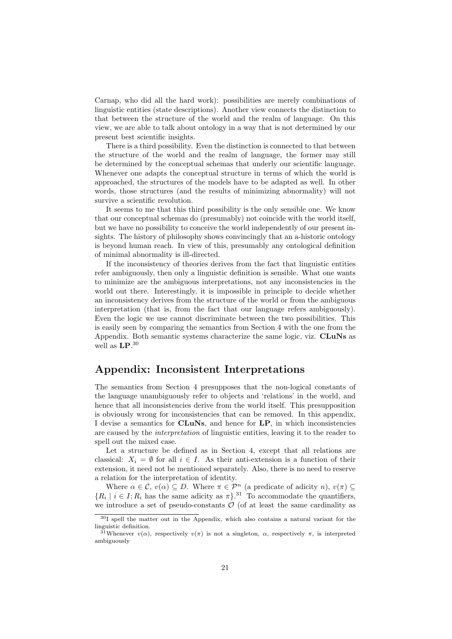Carnap, who did all the hard work): possibilities are merely combinations of linguistic entities (state descriptions). Another view connects the distinction to that between the structure of the world and the realm of language. On this view, we are able to talk about ontology in a way that is not determined by our present best scientific insights.

There is a third possibility. Even the distinction is connected to that between the structure of the world and the realm of language, the former may still be determined by the conceptual schemas that underly our scientific language. Whenever one adapts the conceptual structure in terms of which the world is approached, the structures of the models have to be adapted as well. In other words, those structures (and the results of minimizing abnormality) will not survive a scientific revolution.

It seems to me that this third possibility is the only sensible one. We know that our conceptual schemas do (presumably) not coincide with the world itself, but we have no possibility to conceive the world independently of our present insights. The history of philosophy shows convincingly that an a-historic ontology is beyond human reach. In view of this, presumably any ontological definition of minimal abnormality is ill-directed.

If the inconsistency of theories derives from the fact that linguistic entities refer ambiguously, then only a linguistic definition is sensible. What one wants to minimize are the ambiguous interpretations, not any inconsistencies in the world out there. Interestingly, it is impossible in principle to decide whether an inconsistency derives from the structure of the world or from the ambiguous interpretation (that is, from the fact that our language refers ambiguously). Even the logic we use cannot discriminate between the two possibilities. This is easily seen by comparing the semantics from Section 4 with the one from the Appendix. Both semantic systems characterize the same logic, viz. CLuNs as well as  $\mathbf{LP}^{.30}$ 

### Appendix: Inconsistent Interpretations

The semantics from Section 4 presupposes that the non-logical constants of the language unambiguously refer to objects and 'relations' in the world, and hence that all inconsistencies derive from the world itself. This presupposition is obviously wrong for inconsistencies that can be removed. In this appendix, I devise a semantics for **CLuNs**, and hence for **LP**, in which inconsistencies are caused by the interpretation of linguistic entities, leaving it to the reader to spell out the mixed case.

Let a structure be defined as in Section 4, except that all relations are classical:  $X_i = \emptyset$  for all  $i \in I$ . As their anti-extension is a function of their extension, it need not be mentioned separately. Also, there is no need to reserve a relation for the interpretation of identity.

Where  $\alpha \in \mathcal{C}$ ,  $v(\alpha) \subseteq D$ . Where  $\pi \in \mathcal{P}^n$  (a predicate of adicity  $n$ ),  $v(\pi) \subseteq$  $\{R_i \mid i \in I; R_i \text{ has the same alicity as } \pi\}.$ <sup>31</sup> To accommodate the quantifiers, we introduce a set of pseudo-constants  $\mathcal O$  (of at least the same cardinality as

 $30I$  spell the matter out in the Appendix, which also contains a natural variant for the linguistic definition.

<sup>&</sup>lt;sup>31</sup>Whenever  $v(\alpha)$ , respectively  $v(\pi)$  is not a singleton,  $\alpha$ , respectively  $\pi$ , is interpreted ambiguously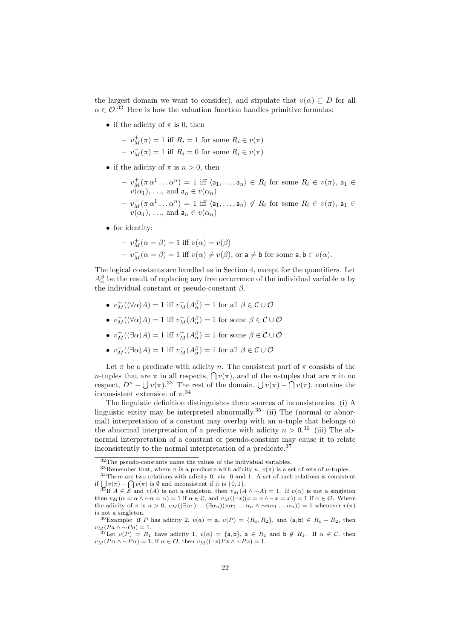the largest domain we want to consider), and stipulate that  $v(\alpha) \subseteq D$  for all  $\alpha \in \mathcal{O}^{32}$  Here is how the valuation function handles primitive formulas:

• if the adicity of  $\pi$  is 0, then

 $-v_M^+(\pi) = 1$  iff  $R_i = 1$  for some  $R_i \in v(\pi)$  $- v_M^-$ (π) = 1 iff  $R_i = 0$  for some  $R_i ∈ v(π)$ 

- if the adicity of  $\pi$  is  $n > 0$ , then
	- $-v_M^+(\pi\alpha^1\ldots\alpha^n)=1$  iff  $\langle a_1,\ldots,a_n\rangle\in R_i$  for some  $R_i\in v(\pi)$ ,  $a_1\in$  $v(\alpha_1), \ldots$ , and  $a_n \in v(\alpha_n)$  $-v_M^-(\pi\alpha^1\ldots\alpha^n) = 1$  iff  $\langle a_1,\ldots,a_n\rangle \notin R_i$  for some  $R_i \in v(\pi)$ ,  $a_1 \in$  $v(\alpha_1), \ldots$ , and  $a_n \in v(\alpha_n)$
- for identity:

$$
- v_M^+(\alpha = \beta) = 1 \text{ iff } v(\alpha) = v(\beta)
$$
  

$$
- v_M^-(\alpha = \beta) = 1 \text{ iff } v(\alpha) \neq v(\beta), \text{ or a } \neq \mathbf{b} \text{ for some } \mathbf{a}, \mathbf{b} \in v(\alpha).
$$

The logical constants are handled as in Section 4, except for the quantifiers. Let  $A^{\beta}_{\alpha}$  be the result of replacing any free occurrence of the individual variable  $\alpha$  by the individual constant or pseudo-constant  $\beta$ .

- $v_M^+((\forall \alpha)A) = 1$  iff  $v_M^+(A_\alpha^\beta) = 1$  for all  $\beta \in \mathcal{C} \cup \mathcal{O}$
- $v_M^-(\forall \alpha)A) = 1$  iff  $v_M^-(A_\alpha^\beta) = 1$  for some  $\beta \in \mathcal{C} \cup \mathcal{O}$
- $v_M^{\dagger}((\exists \alpha)A) = 1$  iff  $v_M^{\dagger}(A_{\alpha}^{\beta}) = 1$  for some  $\beta \in \mathcal{C} \cup \mathcal{O}$
- $v_M^-(\exists \alpha)A) = 1$  iff  $v_M^-(A_\alpha^\beta) = 1$  for all  $\beta \in \mathcal{C} \cup \mathcal{O}$

Let  $\pi$  be a predicate with adicity n. The consistent part of  $\pi$  consists of the *n*-tuples that are  $\pi$  in all respects,  $\bigcap v(\pi)$ , and of the *n*-tuples that are  $\pi$  in no respect,  $D^n - \bigcup v(\pi)$ .<sup>33</sup> The rest of the domain,  $\bigcup v(\pi) - \bigcap v(\pi)$ , contains the inconsistent extension of  $\pi$ <sup>34</sup>

The linguistic definition distinguishes three sources of inconsistencies. (i) A linguistic entity may be interpreted abnormally.<sup>35</sup> (ii) The (normal or abnormal) interpretation of a constant may overlap with an  $n$ -tuple that belongs to the abnormal interpretation of a predicate with adicity  $n > 0.36$  (iii) The abnormal interpretation of a constant or pseudo-constant may cause it to relate inconsistently to the normal interpretation of a predicate.<sup>37</sup>

<sup>32</sup>The pseudo-constants name the values of the individual variables.

<sup>&</sup>lt;sup>33</sup>Remember that, where  $\pi$  is a predicate with adicity n,  $v(\pi)$  is a set of sets of n-tuples.

<sup>34</sup>There are two relations with adicity 0, viz. 0 and 1. A set of such relations is consistent if  $\bigcup v(\pi) - \bigcap v(\pi)$  is Ø and inconsistent if it is  $\{0, 1\}.$ 

<sup>&</sup>lt;sup>35</sup>If  $A \in \mathcal{S}$  and  $v(A)$  is not a singleton, then  $v_M(A \wedge \sim A) = 1$ . If  $v(\alpha)$  is not a singleton then  $v_M(\alpha = \alpha \wedge \alpha \alpha = \alpha) = 1$  if  $\alpha \in \mathcal{C}$ , and  $v_M((\exists x)(x = x \wedge \alpha \alpha = x)) = 1$  if  $\alpha \in \mathcal{O}$ . Where the adicity of  $\pi$  is  $n > 0$ ,  $v_M((\exists \alpha_1) \dots (\exists \alpha_n)(\pi \alpha_1 \dots \alpha_n \wedge \neg \pi \alpha_1 \dots \alpha_n)) = 1$  whenever  $v(\pi)$ is not a singleton.

<sup>&</sup>lt;sup>36</sup>Example: if P has adicity 2,  $v(a) = a$ ,  $v(P) = \{R_1, R_2\}$ , and  $\langle a, b \rangle \in R_1 - R_2$ , then  $v_M(Pa \wedge \neg Pa) = 1.$ 

<sup>&</sup>lt;sup>37</sup>Let  $v(P) = R_1$  have adicity 1,  $v(\alpha) = \{a, b\}$ ,  $a \in R_1$  and  $b \notin R_1$ . If  $\alpha \in \mathcal{C}$ , then  $v_M(P\alpha \wedge \neg P\alpha) = 1$ ; if  $\alpha \in \mathcal{O}$ , then  $v_M((\exists x)Px \wedge \neg Px) = 1$ .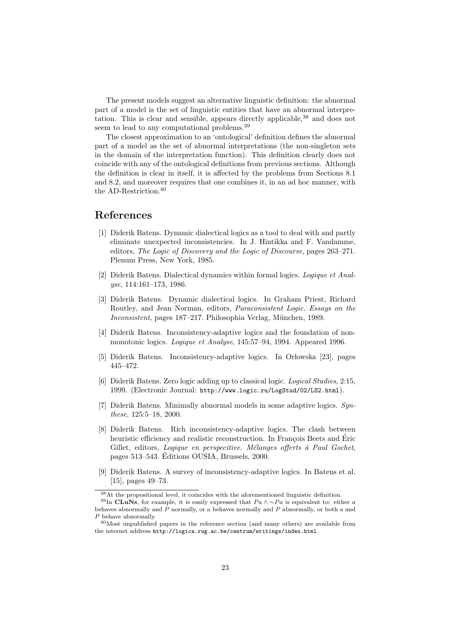The present models suggest an alternative linguistic definition: the abnormal part of a model is the set of linguistic entities that have an abnormal interpretation. This is clear and sensible, appears directly applicable,<sup>38</sup> and does not seem to lead to any computational problems.<sup>39</sup>

The closest approximation to an 'ontological' definition defines the abnormal part of a model as the set of abnormal interpretations (the non-singleton sets in the domain of the interpretation function). This definition clearly does not coincide with any of the ontological definitions from previous sections. Although the definition is clear in itself, it is affected by the problems from Sections 8.1 and 8.2, and moreover requires that one combines it, in an ad hoc manner, with the AD-Restriction.<sup>40</sup>

### References

- [1] Diderik Batens. Dynamic dialectical logics as a tool to deal with and partly eliminate unexpected inconsistencies. In J. Hintikka and F. Vandamme, editors, The Logic of Discovery and the Logic of Discourse, pages 263–271. Plenum Press, New York, 1985.
- [2] Diderik Batens. Dialectical dynamics within formal logics. Logique et Analyse, 114:161–173, 1986.
- [3] Diderik Batens. Dynamic dialectical logics. In Graham Priest, Richard Routley, and Jean Norman, editors, Paraconsistent Logic. Essays on the Inconsistent, pages 187–217. Philosophia Verlag, München, 1989.
- [4] Diderik Batens. Inconsistency-adaptive logics and the foundation of nonmonotonic logics. Logique et Analyse, 145:57–94, 1994. Appeared 1996.
- [5] Diderik Batens. Inconsistency-adaptive logics. In Orlowska [23], pages 445–472.
- [6] Diderik Batens. Zero logic adding up to classical logic. Logical Studies, 2:15, 1999. (Electronic Journal: http://www.logic.ru/LogStud/02/LS2.html).
- [7] Diderik Batens. Minimally abnormal models in some adaptive logics. Synthese, 125:5–18, 2000.
- [8] Diderik Batens. Rich inconsistency-adaptive logics. The clash between heuristic efficiency and realistic reconstruction. In François Beets and Éric Gillet, editors, Logique en perspecitive. Mélanges offerts à Paul Gochet, pages 513–543. Editions OUSIA, Brussels, 2000. ´
- [9] Diderik Batens. A survey of inconsistency-adaptive logics. In Batens et al. [15], pages 49–73.

<sup>38</sup>At the propositional level, it coincides with the aforementioned linguistic definition.

<sup>&</sup>lt;sup>39</sup>In CLuNs, for example, it is easily expressed that  $Pa \wedge \sim Pa$  is equivalent to: either a behaves abnormally and  $\overline{P}$  normally, or  $\overline{a}$  behaves normally and  $\overline{P}$  abnormally, or both  $\overline{a}$  and P behave abnormally.

 $40$ Most unpublished papers in the reference section (and many others) are available from the internet address http://logica.rug.ac.be/centrum/writings/index.html.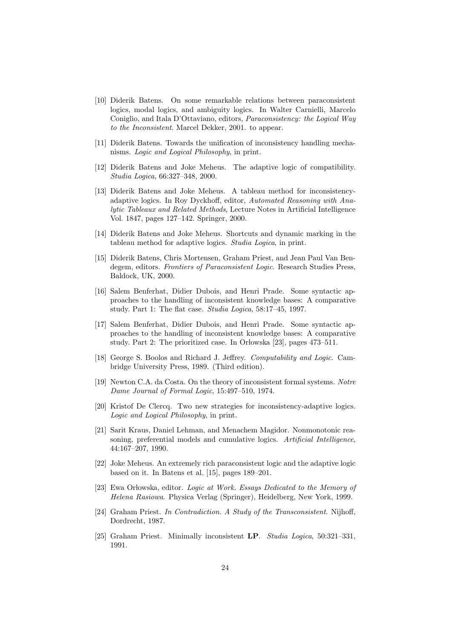- [10] Diderik Batens. On some remarkable relations between paraconsistent logics, modal logics, and ambiguity logics. In Walter Carnielli, Marcelo Coniglio, and Itala D'Ottaviano, editors, Paraconsistency: the Logical Way to the Inconsistent. Marcel Dekker, 2001. to appear.
- [11] Diderik Batens. Towards the unification of inconsistency handling mechanisms. Logic and Logical Philosophy, in print.
- [12] Diderik Batens and Joke Meheus. The adaptive logic of compatibility. Studia Logica, 66:327–348, 2000.
- [13] Diderik Batens and Joke Meheus. A tableau method for inconsistencyadaptive logics. In Roy Dyckhoff, editor, Automated Reasoning with Analytic Tableaux and Related Methods, Lecture Notes in Artificial Intelligence Vol. 1847, pages 127–142. Springer, 2000.
- [14] Diderik Batens and Joke Meheus. Shortcuts and dynamic marking in the tableau method for adaptive logics. Studia Logica, in print.
- [15] Diderik Batens, Chris Mortensen, Graham Priest, and Jean Paul Van Bendegem, editors. Frontiers of Paraconsistent Logic. Research Studies Press, Baldock, UK, 2000.
- [16] Salem Benferhat, Didier Dubois, and Henri Prade. Some syntactic approaches to the handling of inconsistent knowledge bases: A comparative study. Part 1: The flat case. Studia Logica, 58:17–45, 1997.
- [17] Salem Benferhat, Didier Dubois, and Henri Prade. Some syntactic approaches to the handling of inconsistent knowledge bases: A comparative study. Part 2: The prioritized case. In Orlowska [23], pages 473–511.
- [18] George S. Boolos and Richard J. Jeffrey. Computability and Logic. Cambridge University Press, 1989. (Third edition).
- [19] Newton C.A. da Costa. On the theory of inconsistent formal systems. Notre Dame Journal of Formal Logic, 15:497–510, 1974.
- [20] Kristof De Clercq. Two new strategies for inconsistency-adaptive logics. Logic and Logical Philosophy, in print.
- [21] Sarit Kraus, Daniel Lehman, and Menachem Magidor. Nonmonotonic reasoning, preferential models and cumulative logics. Artificial Intelligence, 44:167–207, 1990.
- [22] Joke Meheus. An extremely rich paraconsistent logic and the adaptive logic based on it. In Batens et al. [15], pages 189–201.
- [23] Ewa Orlowska, editor. Logic at Work. Essays Dedicated to the Memory of Helena Rasiowa. Physica Verlag (Springer), Heidelberg, New York, 1999.
- [24] Graham Priest. In Contradiction. A Study of the Transconsistent. Nijhoff, Dordrecht, 1987.
- [25] Graham Priest. Minimally inconsistent LP. Studia Logica, 50:321–331, 1991.